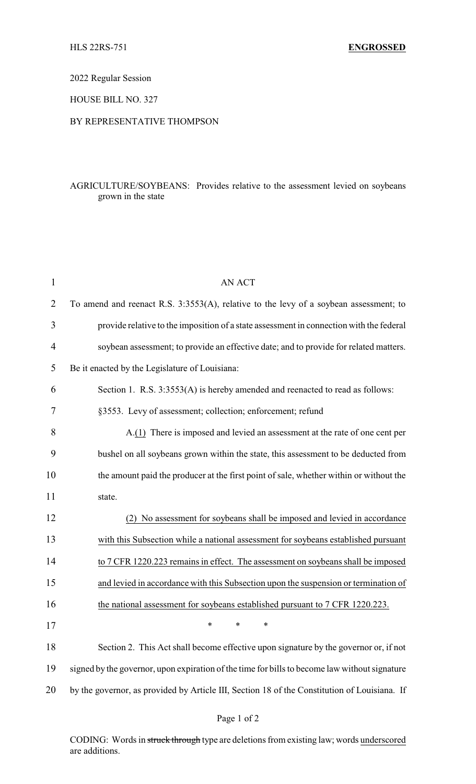2022 Regular Session

HOUSE BILL NO. 327

## BY REPRESENTATIVE THOMPSON

## AGRICULTURE/SOYBEANS: Provides relative to the assessment levied on soybeans grown in the state

| $\mathbf{1}$   | <b>AN ACT</b>                                                                                 |
|----------------|-----------------------------------------------------------------------------------------------|
| $\overline{2}$ | To amend and reenact R.S. 3:3553(A), relative to the levy of a soybean assessment; to         |
| 3              | provide relative to the imposition of a state assessment in connection with the federal       |
| 4              | soybean assessment; to provide an effective date; and to provide for related matters.         |
| 5              | Be it enacted by the Legislature of Louisiana:                                                |
| 6              | Section 1. R.S. 3:3553(A) is hereby amended and reenacted to read as follows:                 |
| 7              | §3553. Levy of assessment; collection; enforcement; refund                                    |
| 8              | A.(1) There is imposed and levied an assessment at the rate of one cent per                   |
| 9              | bushel on all soybeans grown within the state, this assessment to be deducted from            |
| 10             | the amount paid the producer at the first point of sale, whether within or without the        |
| 11             | state.                                                                                        |
| 12             | No assessment for soybeans shall be imposed and levied in accordance<br>(2)                   |
| 13             | with this Subsection while a national assessment for soybeans established pursuant            |
| 14             | to 7 CFR 1220.223 remains in effect. The assessment on soybeans shall be imposed              |
| 15             | and levied in accordance with this Subsection upon the suspension or termination of           |
| 16             | the national assessment for soybeans established pursuant to 7 CFR 1220.223.                  |
| 17             |                                                                                               |
| 18             | Section 2. This Act shall become effective upon signature by the governor or, if not          |
| 19             | signed by the governor, upon expiration of the time for bills to become law without signature |
| 20             | by the governor, as provided by Article III, Section 18 of the Constitution of Louisiana. If  |

CODING: Words in struck through type are deletions from existing law; words underscored are additions.